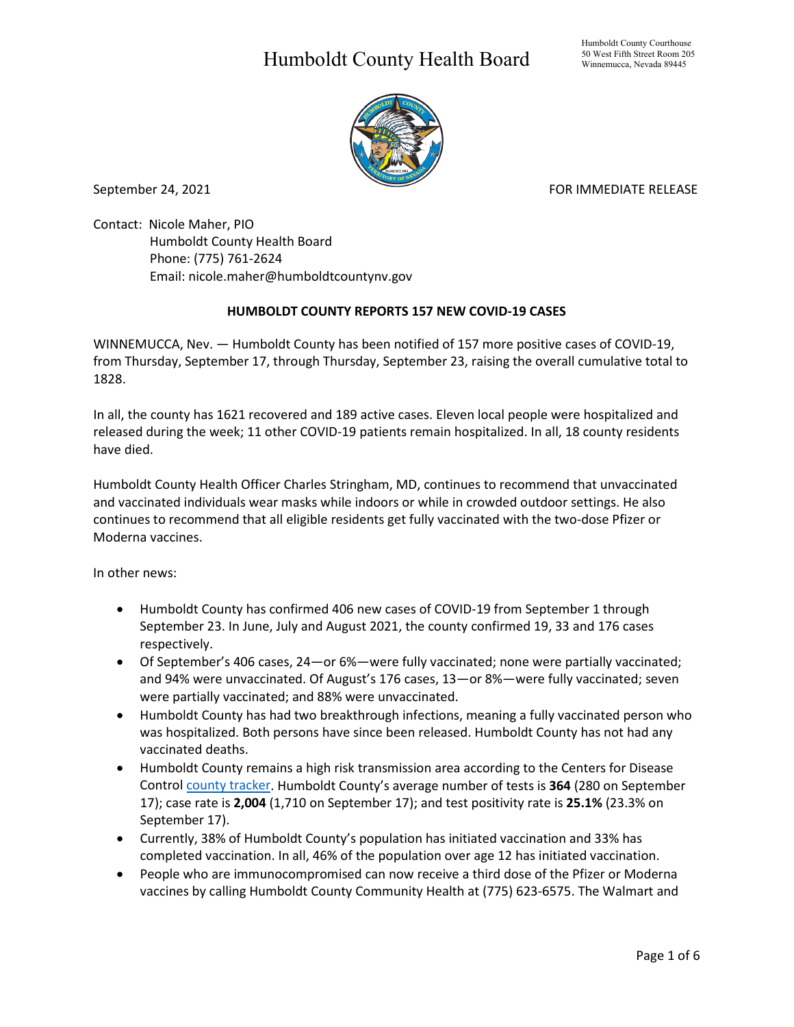## Humboldt County Health Board



September 24, 2021 **FOR IMMEDIATE RELEASE** 

Contact: Nicole Maher, PIO Humboldt County Health Board Phone: (775) 761-2624 Email: nicole.maher@humboldtcountynv.gov

## **HUMBOLDT COUNTY REPORTS 157 NEW COVID-19 CASES**

WINNEMUCCA, Nev. — Humboldt County has been notified of 157 more positive cases of COVID-19, from Thursday, September 17, through Thursday, September 23, raising the overall cumulative total to 1828.

In all, the county has 1621 recovered and 189 active cases. Eleven local people were hospitalized and released during the week; 11 other COVID-19 patients remain hospitalized. In all, 18 county residents have died.

Humboldt County Health Officer Charles Stringham, MD, continues to recommend that unvaccinated and vaccinated individuals wear masks while indoors or while in crowded outdoor settings. He also continues to recommend that all eligible residents get fully vaccinated with the two-dose Pfizer or Moderna vaccines.

In other news:

- Humboldt County has confirmed 406 new cases of COVID-19 from September 1 through September 23. In June, July and August 2021, the county confirmed 19, 33 and 176 cases respectively.
- Of September's 406 cases, 24—or 6%—were fully vaccinated; none were partially vaccinated; and 94% were unvaccinated. Of August's 176 cases, 13—or 8%—were fully vaccinated; seven were partially vaccinated; and 88% were unvaccinated.
- Humboldt County has had two breakthrough infections, meaning a fully vaccinated person who was hospitalized. Both persons have since been released. Humboldt County has not had any vaccinated deaths.
- Humboldt County remains a high risk transmission area according to the Centers for Disease Control [county tracker.](https://covid.cdc.gov/covid-data-tracker/#county-view) Humboldt County's average number of tests is **364** (280 on September 17); case rate is **2,004** (1,710 on September 17); and test positivity rate is **25.1%** (23.3% on September 17).
- Currently, 38% of Humboldt County's population has initiated vaccination and 33% has completed vaccination. In all, 46% of the population over age 12 has initiated vaccination.
- People who are immunocompromised can now receive a third dose of the Pfizer or Moderna vaccines by calling Humboldt County Community Health at (775) 623-6575. The Walmart and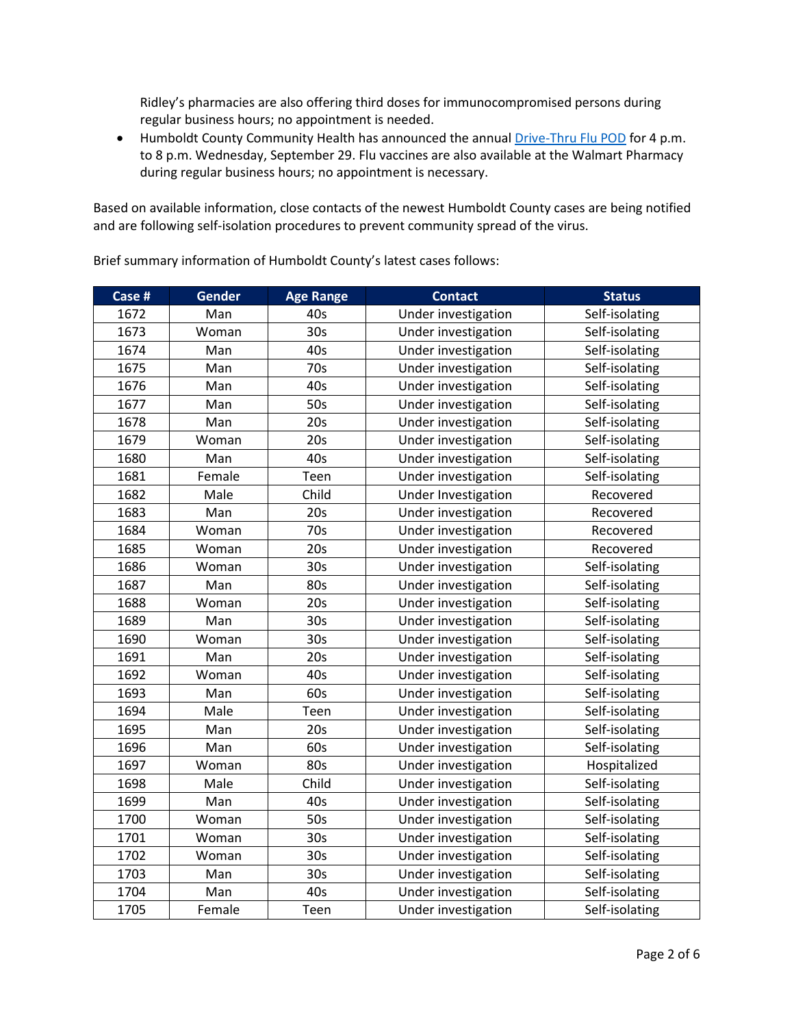Ridley's pharmacies are also offering third doses for immunocompromised persons during regular business hours; no appointment is needed.

• Humboldt County Community Health has announced the annual [Drive-Thru Flu POD](https://www.humboldtcountynv.gov/DocumentCenter/View/5644/All-Humboldt-County-Residents-Encouraged-to-Participate-in-Drive-Thru-Flu-Shot-Clinic0821) for 4 p.m. to 8 p.m. Wednesday, September 29. Flu vaccines are also available at the Walmart Pharmacy during regular business hours; no appointment is necessary.

Based on available information, close contacts of the newest Humboldt County cases are being notified and are following self-isolation procedures to prevent community spread of the virus.

**Case # Gender Age Range Contact Status** 1672 | Man | 40s | Under investigation | Self-isolating 1673 | Woman | 30s | Under investigation | Self-isolating 1674 | Man | 40s | Under investigation | Self-isolating 1675 | Man | 70s | Under investigation | Self-isolating 1676 | Man | 40s | Under investigation | Self-isolating 1677 | Man | 50s | Under investigation | Self-isolating 1678 | Man | 20s | Under investigation | Self-isolating 1679 | Woman | 20s | Under investigation | Self-isolating 1680 | Man | 40s | Under investigation | Self-isolating 1681 | Female | Teen | Under investigation | Self-isolating 1682 Male Child Under Investigation Recovered 1683 | Man | 20s | Under investigation | Recovered 1684 | Woman | 70s | Under investigation | Recovered 1685 Woman 20s Under investigation Recovered 1686 | Woman | 30s | Under investigation | Self-isolating 1687 | Man | 80s | Under investigation | Self-isolating 1688 | Woman | 20s | Under investigation | Self-isolating 1689 | Man | 30s | Under investigation | Self-isolating 1690 | Woman | 30s | Under investigation | Self-isolating 1691 | Man | 20s | Under investigation | Self-isolating 1692 | Woman | 40s | Under investigation | Self-isolating 1693 | Man | 60s | Under investigation | Self-isolating 1694 | Male | Teen | Under investigation | Self-isolating 1695 | Man | 20s | Under investigation | Self-isolating 1696 | Man | 60s | Under investigation | Self-isolating 1697 | Woman | 80s | Under investigation | Hospitalized 1698 | Male | Child | Under investigation | Self-isolating 1699 | Man | 40s | Under investigation | Self-isolating 1700 | Woman | 50s | Under investigation | Self-isolating 1701 | Woman | 30s | Under investigation | Self-isolating 1702 | Woman | 30s | Under investigation | Self-isolating 1703 | Man | 30s | Under investigation | Self-isolating 1704 | Man | 40s | Under investigation | Self-isolating 1705 Female Teen Under investigation Self-isolating

Brief summary information of Humboldt County's latest cases follows: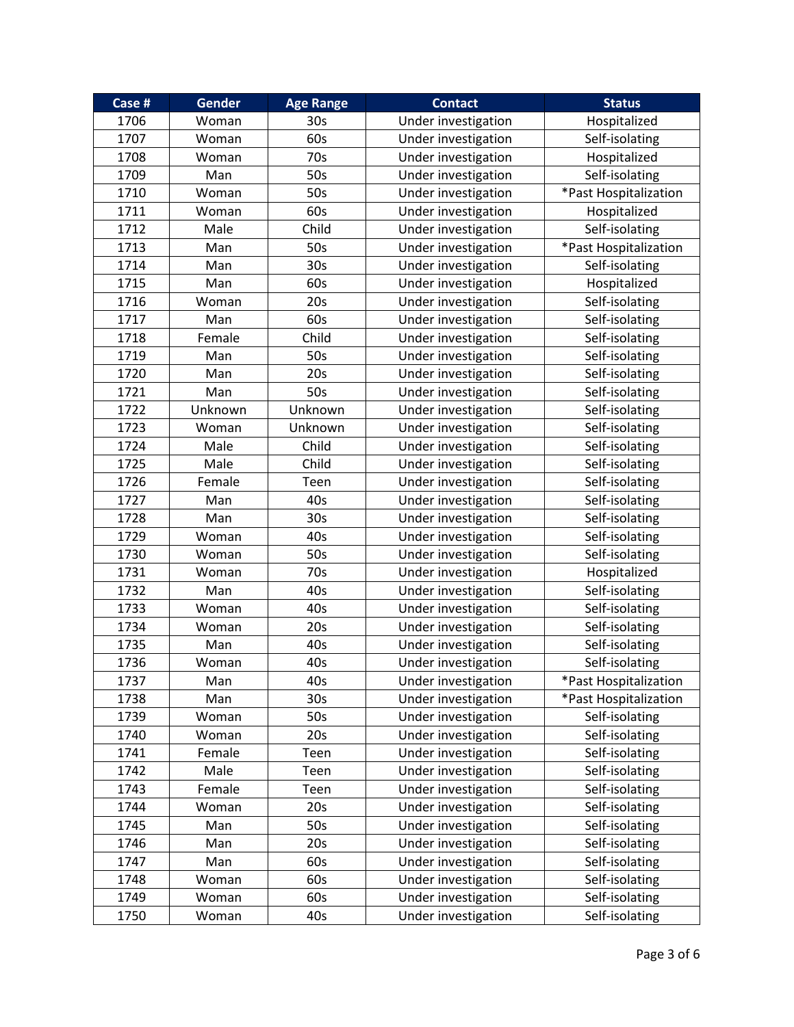| Case # | Gender  | <b>Age Range</b> | <b>Contact</b>      | <b>Status</b>         |
|--------|---------|------------------|---------------------|-----------------------|
| 1706   | Woman   | 30s              | Under investigation | Hospitalized          |
| 1707   | Woman   | 60s              | Under investigation | Self-isolating        |
| 1708   | Woman   | 70s              | Under investigation | Hospitalized          |
| 1709   | Man     | 50s              | Under investigation | Self-isolating        |
| 1710   | Woman   | 50s              | Under investigation | *Past Hospitalization |
| 1711   | Woman   | 60s              | Under investigation | Hospitalized          |
| 1712   | Male    | Child            | Under investigation | Self-isolating        |
| 1713   | Man     | 50s              | Under investigation | *Past Hospitalization |
| 1714   | Man     | 30 <sub>s</sub>  | Under investigation | Self-isolating        |
| 1715   | Man     | 60s              | Under investigation | Hospitalized          |
| 1716   | Woman   | 20s              | Under investigation | Self-isolating        |
| 1717   | Man     | 60s              | Under investigation | Self-isolating        |
| 1718   | Female  | Child            | Under investigation | Self-isolating        |
| 1719   | Man     | 50s              | Under investigation | Self-isolating        |
| 1720   | Man     | 20s              | Under investigation | Self-isolating        |
| 1721   | Man     | 50s              | Under investigation | Self-isolating        |
| 1722   | Unknown | Unknown          | Under investigation | Self-isolating        |
| 1723   | Woman   | Unknown          | Under investigation | Self-isolating        |
| 1724   | Male    | Child            | Under investigation | Self-isolating        |
| 1725   | Male    | Child            | Under investigation | Self-isolating        |
| 1726   | Female  | Teen             | Under investigation | Self-isolating        |
| 1727   | Man     | 40s              | Under investigation | Self-isolating        |
| 1728   | Man     | 30s              | Under investigation | Self-isolating        |
| 1729   | Woman   | 40s              | Under investigation | Self-isolating        |
| 1730   | Woman   | 50s              | Under investigation | Self-isolating        |
| 1731   | Woman   | 70s              | Under investigation | Hospitalized          |
| 1732   | Man     | 40s              | Under investigation | Self-isolating        |
| 1733   | Woman   | 40s              | Under investigation | Self-isolating        |
| 1734   | Woman   | 20s              | Under investigation | Self-isolating        |
| 1735   | Man     | 40s              | Under investigation | Self-isolating        |
| 1736   | Woman   | 40s              | Under investigation | Self-isolating        |
| 1737   | Man     | 40s              | Under investigation | *Past Hospitalization |
| 1738   | Man     | 30s              | Under investigation | *Past Hospitalization |
| 1739   | Woman   | 50s              | Under investigation | Self-isolating        |
| 1740   | Woman   | 20s              | Under investigation | Self-isolating        |
| 1741   | Female  | Teen             | Under investigation | Self-isolating        |
| 1742   | Male    | Teen             | Under investigation | Self-isolating        |
| 1743   | Female  | Teen             | Under investigation | Self-isolating        |
| 1744   | Woman   | 20s              | Under investigation | Self-isolating        |
| 1745   | Man     | 50s              | Under investigation | Self-isolating        |
| 1746   | Man     | 20s              | Under investigation | Self-isolating        |
| 1747   | Man     | 60s              | Under investigation | Self-isolating        |
| 1748   | Woman   | 60s              | Under investigation | Self-isolating        |
| 1749   | Woman   | 60s              | Under investigation | Self-isolating        |
| 1750   | Woman   | 40s              | Under investigation | Self-isolating        |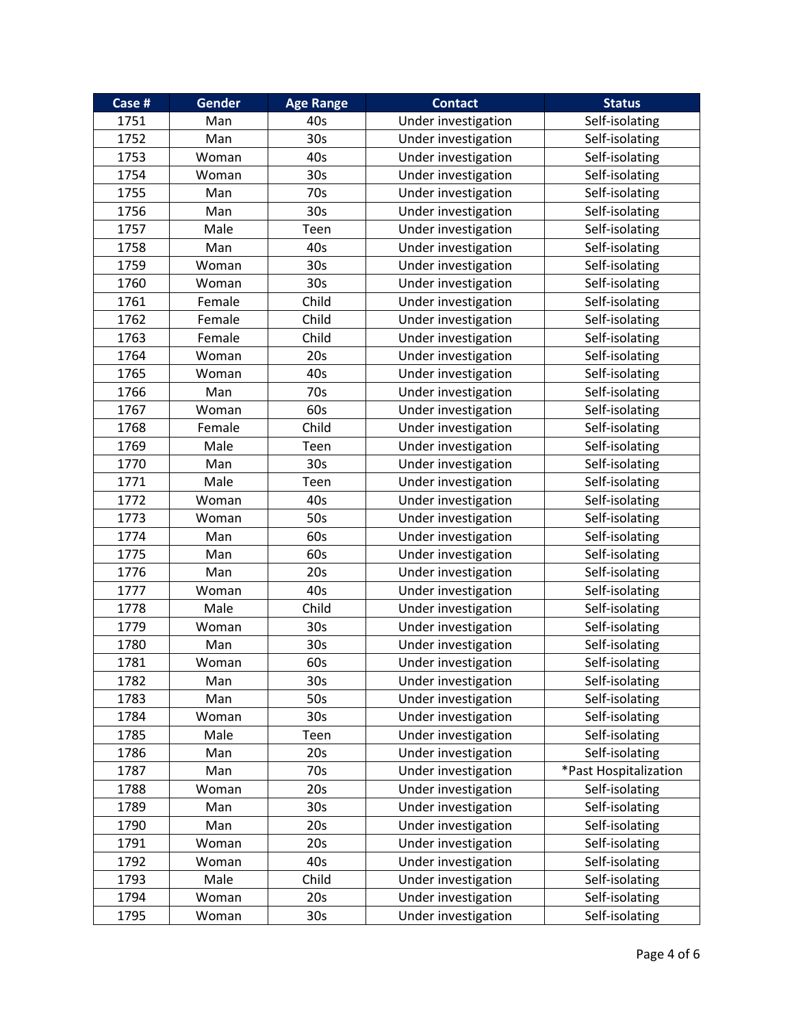| Case # | <b>Gender</b> | <b>Age Range</b> | <b>Contact</b>      | <b>Status</b>         |
|--------|---------------|------------------|---------------------|-----------------------|
| 1751   | Man           | 40s              | Under investigation | Self-isolating        |
| 1752   | Man           | 30s              | Under investigation | Self-isolating        |
| 1753   | Woman         | 40s              | Under investigation | Self-isolating        |
| 1754   | Woman         | 30 <sub>s</sub>  | Under investigation | Self-isolating        |
| 1755   | Man           | 70s              | Under investigation | Self-isolating        |
| 1756   | Man           | 30 <sub>s</sub>  | Under investigation | Self-isolating        |
| 1757   | Male          | Teen             | Under investigation | Self-isolating        |
| 1758   | Man           | 40s              | Under investigation | Self-isolating        |
| 1759   | Woman         | 30 <sub>s</sub>  | Under investigation | Self-isolating        |
| 1760   | Woman         | 30s              | Under investigation | Self-isolating        |
| 1761   | Female        | Child            | Under investigation | Self-isolating        |
| 1762   | Female        | Child            | Under investigation | Self-isolating        |
| 1763   | Female        | Child            | Under investigation | Self-isolating        |
| 1764   | Woman         | 20s              | Under investigation | Self-isolating        |
| 1765   | Woman         | 40s              | Under investigation | Self-isolating        |
| 1766   | Man           | 70s              | Under investigation | Self-isolating        |
| 1767   | Woman         | 60s              | Under investigation | Self-isolating        |
| 1768   | Female        | Child            | Under investigation | Self-isolating        |
| 1769   | Male          | Teen             | Under investigation | Self-isolating        |
| 1770   | Man           | 30 <sub>s</sub>  | Under investigation | Self-isolating        |
| 1771   | Male          | Teen             | Under investigation | Self-isolating        |
| 1772   | Woman         | 40s              | Under investigation | Self-isolating        |
| 1773   | Woman         | 50s              | Under investigation | Self-isolating        |
| 1774   | Man           | 60s              | Under investigation | Self-isolating        |
| 1775   | Man           | 60s              | Under investigation | Self-isolating        |
| 1776   | Man           | 20s              | Under investigation | Self-isolating        |
| 1777   | Woman         | 40s              | Under investigation | Self-isolating        |
| 1778   | Male          | Child            | Under investigation | Self-isolating        |
| 1779   | Woman         | 30 <sub>s</sub>  | Under investigation | Self-isolating        |
| 1780   | Man           | 30 <sub>s</sub>  | Under investigation | Self-isolating        |
| 1781   | Woman         | 60s              | Under investigation | Self-isolating        |
| 1782   | Man           | 30 <sub>s</sub>  | Under investigation | Self-isolating        |
| 1783   | Man           | 50s              | Under investigation | Self-isolating        |
| 1784   | Woman         | 30 <sub>s</sub>  | Under investigation | Self-isolating        |
| 1785   | Male          | Teen             | Under investigation | Self-isolating        |
| 1786   | Man           | 20s              | Under investigation | Self-isolating        |
| 1787   | Man           | 70s              | Under investigation | *Past Hospitalization |
| 1788   | Woman         | 20s              | Under investigation | Self-isolating        |
| 1789   | Man           | 30 <sub>s</sub>  | Under investigation | Self-isolating        |
| 1790   | Man           | 20s              | Under investigation | Self-isolating        |
| 1791   | Woman         | 20s              | Under investigation | Self-isolating        |
| 1792   | Woman         | 40s              | Under investigation | Self-isolating        |
| 1793   | Male          | Child            | Under investigation | Self-isolating        |
| 1794   | Woman         | 20s              | Under investigation | Self-isolating        |
| 1795   | Woman         | 30s              | Under investigation | Self-isolating        |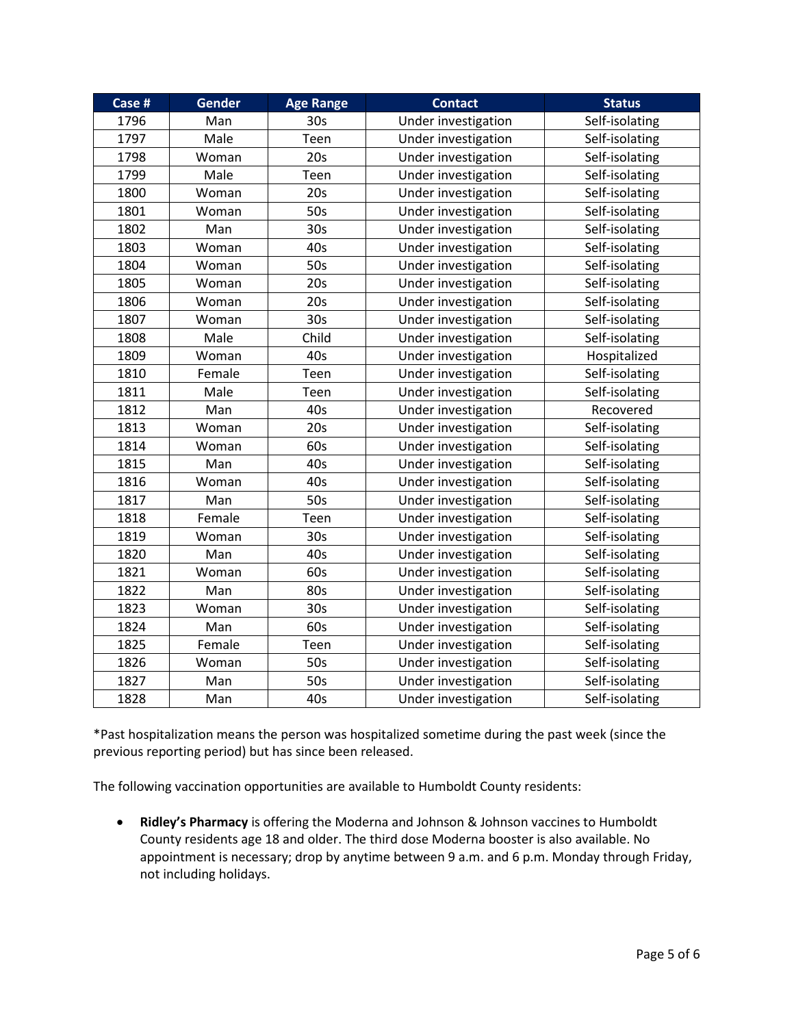| Case # | <b>Gender</b> | <b>Age Range</b> | <b>Contact</b>      | <b>Status</b>  |
|--------|---------------|------------------|---------------------|----------------|
| 1796   | Man           | 30 <sub>s</sub>  | Under investigation | Self-isolating |
| 1797   | Male          | Teen             | Under investigation | Self-isolating |
| 1798   | Woman         | 20s              | Under investigation | Self-isolating |
| 1799   | Male          | Teen             | Under investigation | Self-isolating |
| 1800   | Woman         | 20s              | Under investigation | Self-isolating |
| 1801   | Woman         | 50s              | Under investigation | Self-isolating |
| 1802   | Man           | 30 <sub>s</sub>  | Under investigation | Self-isolating |
| 1803   | Woman         | 40s              | Under investigation | Self-isolating |
| 1804   | Woman         | 50s              | Under investigation | Self-isolating |
| 1805   | Woman         | 20s              | Under investigation | Self-isolating |
| 1806   | Woman         | 20s              | Under investigation | Self-isolating |
| 1807   | Woman         | 30 <sub>s</sub>  | Under investigation | Self-isolating |
| 1808   | Male          | Child            | Under investigation | Self-isolating |
| 1809   | Woman         | 40s              | Under investigation | Hospitalized   |
| 1810   | Female        | Teen             | Under investigation | Self-isolating |
| 1811   | Male          | Teen             | Under investigation | Self-isolating |
| 1812   | Man           | 40s              | Under investigation | Recovered      |
| 1813   | Woman         | 20s              | Under investigation | Self-isolating |
| 1814   | Woman         | 60s              | Under investigation | Self-isolating |
| 1815   | Man           | 40s              | Under investigation | Self-isolating |
| 1816   | Woman         | 40s              | Under investigation | Self-isolating |
| 1817   | Man           | 50s              | Under investigation | Self-isolating |
| 1818   | Female        | Teen             | Under investigation | Self-isolating |
| 1819   | Woman         | 30 <sub>s</sub>  | Under investigation | Self-isolating |
| 1820   | Man           | 40s              | Under investigation | Self-isolating |
| 1821   | Woman         | 60s              | Under investigation | Self-isolating |
| 1822   | Man           | 80s              | Under investigation | Self-isolating |
| 1823   | Woman         | 30 <sub>s</sub>  | Under investigation | Self-isolating |
| 1824   | Man           | 60s              | Under investigation | Self-isolating |
| 1825   | Female        | Teen             | Under investigation | Self-isolating |
| 1826   | Woman         | 50s              | Under investigation | Self-isolating |
| 1827   | Man           | 50s              | Under investigation | Self-isolating |
| 1828   | Man           | 40s              | Under investigation | Self-isolating |

\*Past hospitalization means the person was hospitalized sometime during the past week (since the previous reporting period) but has since been released.

The following vaccination opportunities are available to Humboldt County residents:

• **Ridley's Pharmacy** is offering the Moderna and Johnson & Johnson vaccines to Humboldt County residents age 18 and older. The third dose Moderna booster is also available. No appointment is necessary; drop by anytime between 9 a.m. and 6 p.m. Monday through Friday, not including holidays.